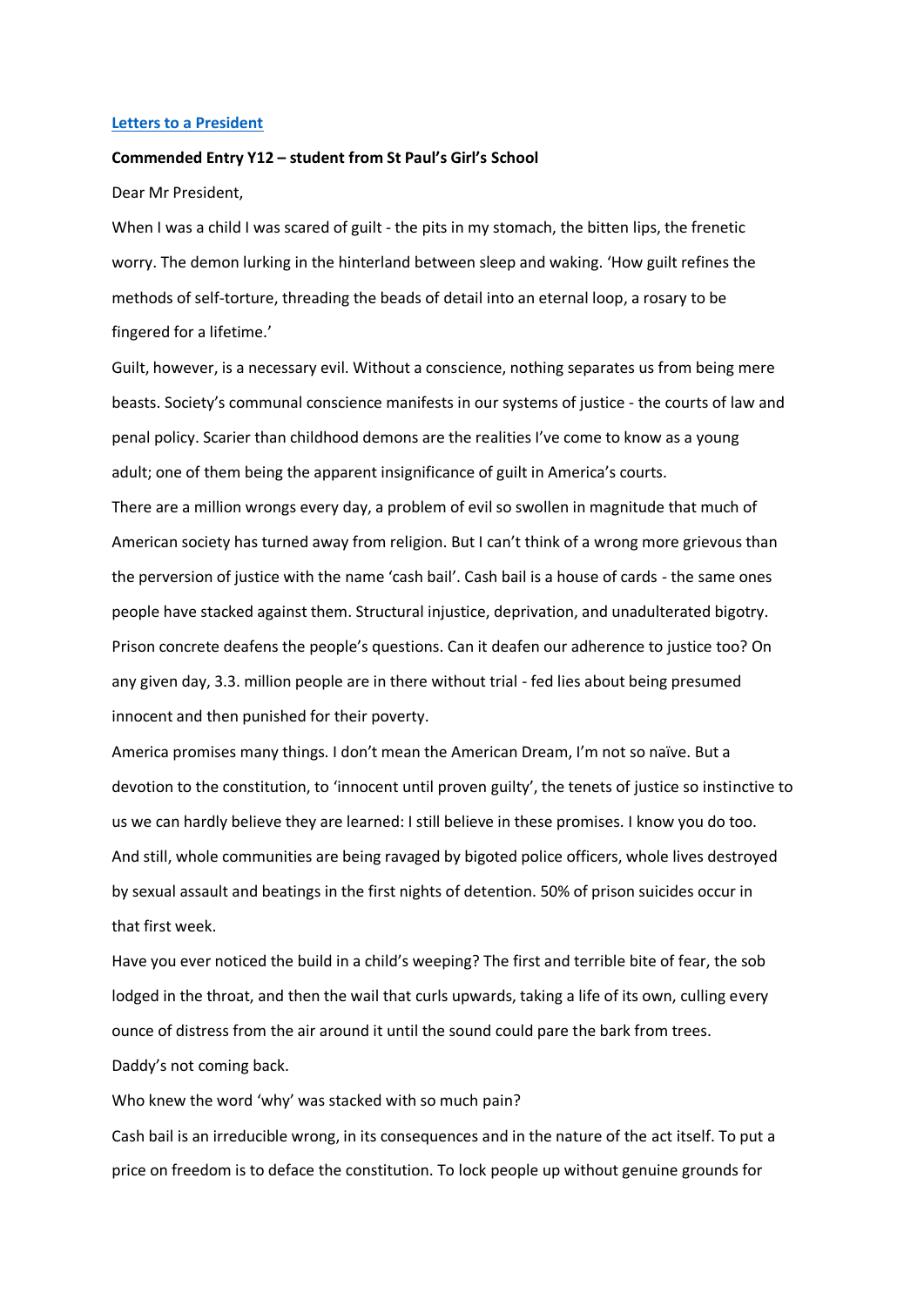## **Letters to [a President](https://www.alc.manchester.ac.uk/connect/schools/outreach/as-competition/)**

## **Commended Entry Y12 – student from St Paul's Girl's School**

Dear Mr President,

When I was a child I was scared of guilt - the pits in my stomach, the bitten lips, the frenetic worry. The demon lurking in the hinterland between sleep and waking. 'How guilt refines the methods of self-torture, threading the beads of detail into an eternal loop, a rosary to be fingered for a lifetime.'

Guilt, however, is a necessary evil. Without a conscience, nothing separates us from being mere beasts. Society's communal conscience manifests in our systems of justice - the courts of law and penal policy. Scarier than childhood demons are the realities I've come to know as a young adult; one of them being the apparent insignificance of guilt in America's courts.

There are a million wrongs every day, a problem of evil so swollen in magnitude that much of American society has turned away from religion. But I can't think of a wrong more grievous than the perversion of justice with the name 'cash bail'. Cash bail is a house of cards - the same ones people have stacked against them. Structural injustice, deprivation, and unadulterated bigotry. Prison concrete deafens the people's questions. Can it deafen our adherence to justice too? On any given day, 3.3. million people are in there without trial - fed lies about being presumed innocent and then punished for their poverty.

America promises many things. I don't mean the American Dream, I'm not so naïve. But a devotion to the constitution, to 'innocent until proven guilty', the tenets of justice so instinctive to us we can hardly believe they are learned: I still believe in these promises. I know you do too. And still, whole communities are being ravaged by bigoted police officers, whole lives destroyed by sexual assault and beatings in the first nights of detention. 50% of prison suicides occur in that first week.

Have you ever noticed the build in a child's weeping? The first and terrible bite of fear, the sob lodged in the throat, and then the wail that curls upwards, taking a life of its own, culling every ounce of distress from the air around it until the sound could pare the bark from trees. Daddy's not coming back.

Who knew the word 'why' was stacked with so much pain?

Cash bail is an irreducible wrong, in its consequences and in the nature of the act itself. To put a price on freedom is to deface the constitution. To lock people up without genuine grounds for